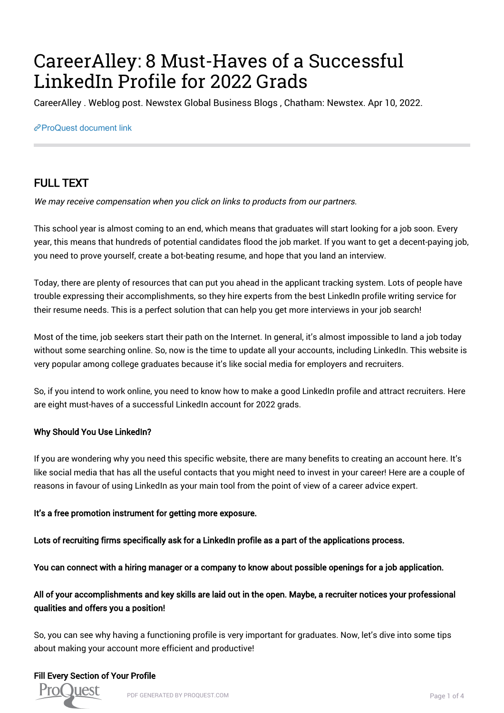# CareerAlley: 8 Must-Haves of a Successful LinkedIn Profile for 2022 Grads

CareerAlley . Weblog post. Newstex Global Business Blogs , Chatham: Newstex. Apr 10, 2022.

#### [ProQuest document link](https://www.proquest.com/blogs-podcasts-websites/careeralley-8-must-haves-successful-linkedin/docview/2648754314/se-2?accountid=44910)

# FULL TEXT

We may receive compensation when you click on links to products from our partners.

This school year is almost coming to an end, which means that graduates will start looking for a job soon. Every year, this means that hundreds of potential candidates flood the job market. If you want to get a decent-paying job, you need to prove yourself, create a bot-beating resume, and hope that you land an interview.

Today, there are plenty of resources that can put you ahead in the applicant tracking system. Lots of people have trouble expressing their accomplishments, so they hire experts from the best LinkedIn profile writing service for their resume needs. This is a perfect solution that can help you get more interviews in your job search!

Most of the time, job seekers start their path on the Internet. In general, it's almost impossible to land a job today without some searching online. So, now is the time to update all your accounts, including LinkedIn. This website is very popular among college graduates because it's like social media for employers and recruiters.

So, if you intend to work online, you need to know how to make a good LinkedIn profile and attract recruiters. Here are eight must-haves of a successful LinkedIn account for 2022 grads.

# Why Should You Use LinkedIn?

If you are wondering why you need this specific website, there are many benefits to creating an account here. It's like social media that has all the useful contacts that you might need to invest in your career! Here are a couple of reasons in favour of using LinkedIn as your main tool from the point of view of a career advice expert.

# It's a free promotion instrument for getting more exposure.

Lots of recruiting firms specifically ask for a LinkedIn profile as a part of the applications process.

You can connect with a hiring manager or a company to know about possible openings for a job application.

# All of your accomplishments and key skills are laid out in the open. Maybe, a recruiter notices your professional qualities and offers you a position!

So, you can see why having a functioning profile is very important for graduates. Now, let's dive into some tips about making your account more efficient and productive!

# Fill Every Section of Your Profile

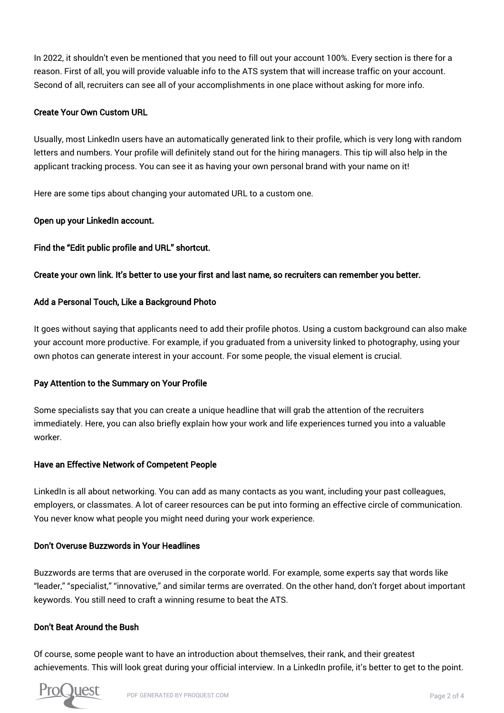In 2022, it shouldn't even be mentioned that you need to fill out your account 100%. Every section is there for a reason. First of all, you will provide valuable info to the ATS system that will increase traffic on your account. Second of all, recruiters can see all of your accomplishments in one place without asking for more info.

# Create Your Own Custom URL

Usually, most LinkedIn users have an automatically generated link to their profile, which is very long with random letters and numbers. Your profile will definitely stand out for the hiring managers. This tip will also help in the applicant tracking process. You can see it as having your own personal brand with your name on it!

Here are some tips about changing your automated URL to a custom one.

# Open up your LinkedIn account.

# Find the "Edit public profile and URL" shortcut.

# Create your own link. It's better to use your first and last name, so recruiters can remember you better.

# Add a Personal Touch, Like a Background Photo

It goes without saying that applicants need to add their profile photos. Using a custom background can also make your account more productive. For example, if you graduated from a university linked to photography, using your own photos can generate interest in your account. For some people, the visual element is crucial.

# Pay Attention to the Summary on Your Profile

Some specialists say that you can create a unique headline that will grab the attention of the recruiters immediately. Here, you can also briefly explain how your work and life experiences turned you into a valuable worker.

# Have an Effective Network of Competent People

LinkedIn is all about networking. You can add as many contacts as you want, including your past colleagues, employers, or classmates. A lot of career resources can be put into forming an effective circle of communication. You never know what people you might need during your work experience.

# Don't Overuse Buzzwords in Your Headlines

Buzzwords are terms that are overused in the corporate world. For example, some experts say that words like "leader," "specialist," "innovative," and similar terms are overrated. On the other hand, don't forget about important keywords. You still need to craft a winning resume to beat the ATS.

# Don't Beat Around the Bush

Of course, some people want to have an introduction about themselves, their rank, and their greatest achievements. This will look great during your official interview. In a LinkedIn profile, it's better to get to the point.

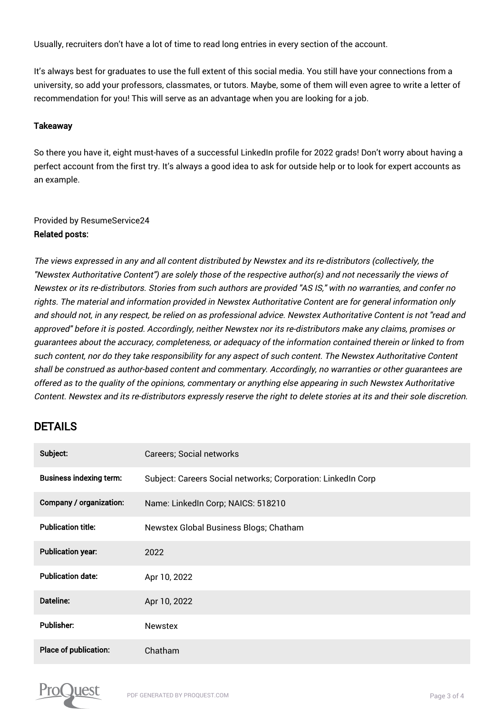Usually, recruiters don't have a lot of time to read long entries in every section of the account.

It's always best for graduates to use the full extent of this social media. You still have your connections from a university, so add your professors, classmates, or tutors. Maybe, some of them will even agree to write a letter of recommendation for you! This will serve as an advantage when you are looking for a job.

#### **Takeaway**

So there you have it, eight must-haves of a successful LinkedIn profile for 2022 grads! Don't worry about having a perfect account from the first try. It's always a good idea to ask for outside help or to look for expert accounts as an example.

# Provided by ResumeService24

#### Related posts:

The views expressed in any and all content distributed by Newstex and its re-distributors (collectively, the "Newstex Authoritative Content") are solely those of the respective author(s) and not necessarily the views of Newstex or its re-distributors. Stories from such authors are provided "AS IS," with no warranties, and confer no rights. The material and information provided in Newstex Authoritative Content are for general information only and should not, in any respect, be relied on as professional advice. Newstex Authoritative Content is not "read and approved" before it is posted. Accordingly, neither Newstex nor its re-distributors make any claims, promises or guarantees about the accuracy, completeness, or adequacy of the information contained therein or linked to from such content, nor do they take responsibility for any aspect of such content. The Newstex Authoritative Content shall be construed as author-based content and commentary. Accordingly, no warranties or other guarantees are offered as to the quality of the opinions, commentary or anything else appearing in such Newstex Authoritative Content. Newstex and its re-distributors expressly reserve the right to delete stories at its and their sole discretion.

# **DETAILS**

| Subject:                       | <b>Careers; Social networks</b>                              |
|--------------------------------|--------------------------------------------------------------|
| <b>Business indexing term:</b> | Subject: Careers Social networks; Corporation: LinkedIn Corp |
| Company / organization:        | Name: LinkedIn Corp; NAICS: 518210                           |
| <b>Publication title:</b>      | Newstex Global Business Blogs; Chatham                       |
| <b>Publication year:</b>       | 2022                                                         |
| <b>Publication date:</b>       | Apr 10, 2022                                                 |
| Dateline:                      | Apr 10, 2022                                                 |
| <b>Publisher:</b>              | <b>Newstex</b>                                               |
| Place of publication:          | Chatham                                                      |